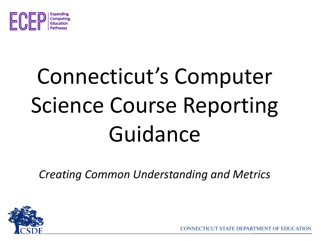

# Connecticut's Computer Science Course Reporting Guidance

*Creating Common Understanding and Metrics*



CONNECTICUT STATE DEPARTMENT OF EDUCATION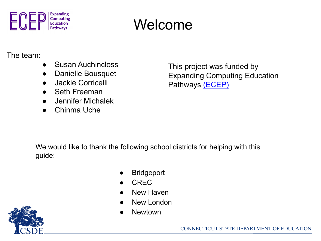

#### Welcome

#### The team:

- **Susan Auchincloss**
- Danielle Bousquet
- **Jackie Corricelli**
- **Seth Freeman**
- Jennifer Michalek
- Chinma Uche

This project was funded by Expanding Computing Education Pathways [\(ECEP\)](https://ecepalliance.org/)

We would like to thank the following school districts for helping with this guide:

- **Bridgeport**
- CREC<sub></sub>
- **New Haven**
- **New London**
- **Newtown**

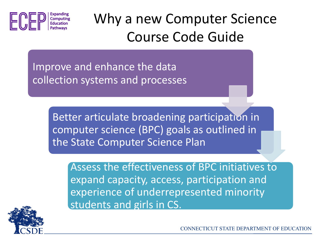

Why a new Computer Science Course Code Guide

Improve and enhance the data collection systems and processes

> Better articulate broadening participation in computer science (BPC) goals as outlined in the State Computer Science Plan

Assess the effectiveness of BPC initiatives to expand capacity, access, participation and experience of underrepresented minority students and girls in CS.



CONNECTICUT STATE DEPARTMENT OF EDUCATION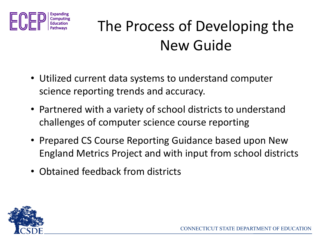

### The Process of Developing the New Guide

- Utilized current data systems to understand computer science reporting trends and accuracy.
- Partnered with a variety of school districts to understand challenges of computer science course reporting
- Prepared CS Course Reporting Guidance based upon New England Metrics Project and with input from school districts
- Obtained feedback from districts

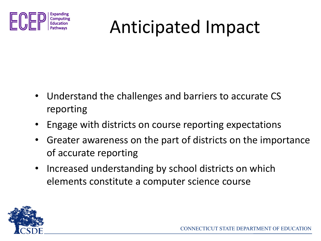

## Anticipated Impact

- Understand the challenges and barriers to accurate CS reporting
- Engage with districts on course reporting expectations
- Greater awareness on the part of districts on the importance of accurate reporting
- Increased understanding by school districts on which elements constitute a computer science course

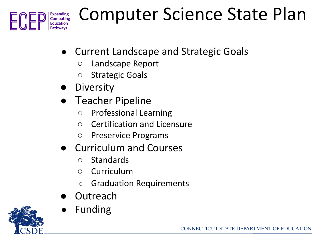

## Computer Science State Plan

- **●** Current Landscape and Strategic Goals
	- Landscape Report
	- Strategic Goals
- **●** Diversity
- **●** Teacher Pipeline
	- Professional Learning
	- Certification and Licensure
	- Preservice Programs
- **●** Curriculum and Courses
	- Standards
	- Curriculum
	- Graduation Requirements
- **●** Outreach
- **●** Funding

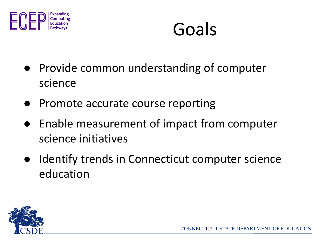

### Goals

- Provide common understanding of computer science
- Promote accurate course reporting
- Enable measurement of impact from computer science initiatives
- Identify trends in Connecticut computer science education

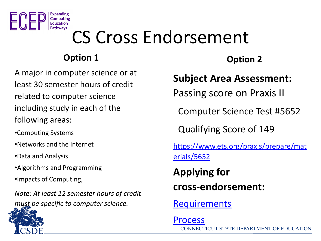

### CS Cross Endorsement

#### **Option 1**

A major in computer science or at least 30 semester hours of credit related to computer science including study in each of the following areas:

- •Computing Systems
- •Networks and the Internet
- •Data and Analysis
- •Algorithms and Programming
- •Impacts of Computing,

*Note: At least 12 semester hours of credit must be specific to computer science.*

#### **Option 2**

#### **Subject Area Assessment:**

Passing score on Praxis II

Computer Science Test #5652

Qualifying Score of 149

[https://www.ets.org/praxis/prepare/mat](https://www.ets.org/praxis/prepare/materials/5652) [erials/5652](https://www.ets.org/praxis/prepare/materials/5652)

**Applying for cross-endorsement:**

**[Requirements](https://portal.ct.gov/SDE/Certification/Special-Subject-Cross-Endorsements)** 

CONNECTICUT STATE DEPARTMENT OF EDUCATION [Process](https://portal.ct.gov/SDE/Certification/Cross-Endorsements-and-Adding-an-Additional-Endorsement)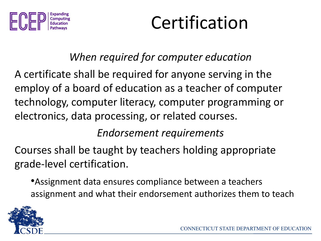

### Certification

#### *When required for computer education*

A certificate shall be required for anyone serving in the employ of a board of education as a teacher of computer technology, computer literacy, computer programming or electronics, data processing, or related courses.

#### *Endorsement requirements*

Courses shall be taught by teachers holding appropriate grade-level certification.

•Assignment data ensures compliance between a teachers assignment and what their endorsement authorizes them to teach

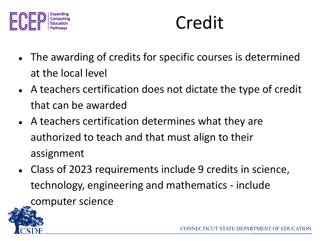

### Credit

- The awarding of credits for specific courses is determined at the local level
- A teachers certification does not dictate the type of credit that can be awarded
- A teachers certification determines what they are authorized to teach and that must align to their assignment
- Class of 2023 requirements include 9 credits in science, technology, engineering and mathematics - include computer science

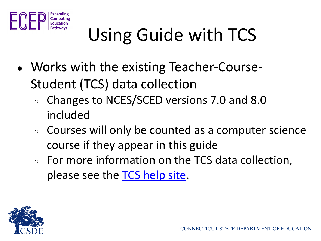

- Works with the existing Teacher-Course-Student (TCS) data collection
	- Changes to NCES/SCED versions 7.0 and 8.0 included
	- Courses will only be counted as a computer science course if they appear in this guide
	- For more information on the TCS data collection, please see the **TCS** help site.

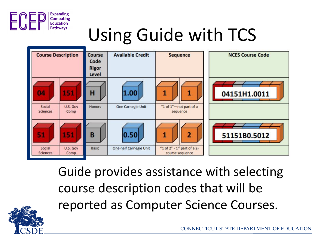



Guide provides assistance with selecting course description codes that will be reported as Computer Science Courses.

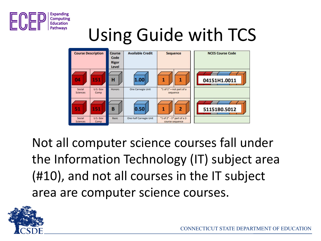



Not all computer science courses fall under the Information Technology (IT) subject area (#10), and not all courses in the IT subject area are computer science courses.

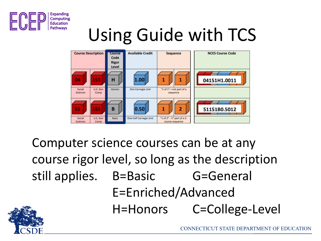



Computer science courses can be at any course rigor level, so long as the description still applies. B=Basic G=General E=Enriched/Advanced H=Honors C=College-Level

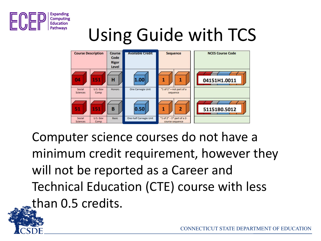



Computer science courses do not have a minimum credit requirement, however they will not be reported as a Career and Technical Education (CTE) course with less than 0.5 credits.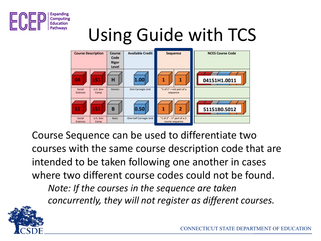



Course Sequence can be used to differentiate two courses with the same course description code that are intended to be taken following one another in cases where two different course codes could not be found. *Note: If the courses in the sequence are taken concurrently, they will not register as different courses.*

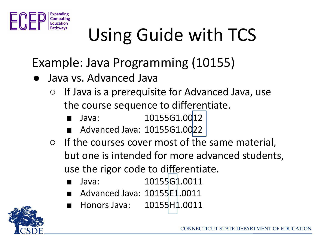

- Example: Java Programming (10155)
- Java vs. Advanced Java
	- $\circ$  If Java is a prerequisite for Advanced Java, use the course sequence to differentiate.
		- Java: 10155G1.0012
		- Advanced Java: 10155G1.0022
	- If the courses cover most of the same material, but one is intended for more advanced students, use the rigor code to differentiate.
		- Java: 10155G1.0011
		- Advanced Java: 10155E1.0011
		- Honors Java: 10155H1.0011

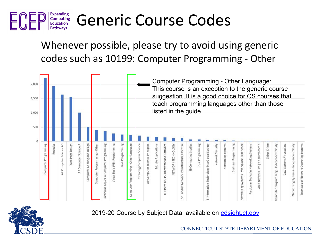

#### Generic Course Codes

Whenever possible, please try to avoid using generic codes such as 10199: Computer Programming - Other



2019-20 Course by Subject Data, available on [edsight.ct.gov](http://edsight.ct.gov/SASStoredProcess/guest?_keyword=&_keywordlevel=District&_program=%2FCTDOE%2FEdSight%2FRelease%2FReporting%2FPublic%2FReports%2FStoredProcesses%2FCoursebySubjectReport&_gradeAGC=All+Grades+Combined&_year=2019-20&_district=State+of+Connecticut&_school=&_subject=All+Subjects&_category=Computer+Programming&_course=All+Courses&_program=%2FCTDOE%2FEdSight%2FRelease%2FReporting%2FPublic%2FReports%2FStoredProcesses%2FCoursebySubjectReport)

CONNECTICUT STATE DEPARTMENT OF EDUCATION

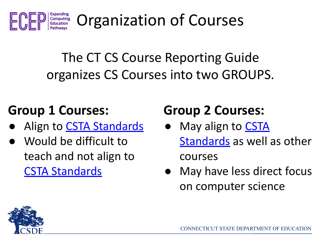

Organization of Courses

The CT CS Course Reporting Guide organizes CS Courses into two GROUPS.

#### **Group 1 Courses:**

- Align to [CSTA Standards](https://www.csteachers.org/page/standards)
- Would be difficult to teach and not align to [CSTA Standards](https://www.csteachers.org/page/standards)

#### **Group 2 Courses:**

- May align to **[CSTA](https://www.csteachers.org/page/standards)** [Standards](https://www.csteachers.org/page/standards) as well as other courses
- May have less direct focus on computer science

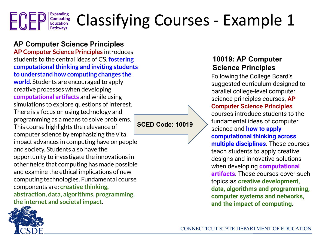#### **Expanding** Classifying Courses - Example 1 Computing **Education**

**AP Computer Science Principles AP Computer Science Principles** introduces students to the central ideas of CS, **fostering computational thinking and inviting students to understand how computing changes the world**. Students are encouraged to apply creative processes when developing **computational artifacts** and while using simulations to explore questions of interest. There is a focus on using technology and programming as a means to solve problems. This course highlights the relevance of computer science by emphasizing the vital impact advances in computing have on people and society. Students also have the opportunity to investigate the innovations in other fields that computing has made possible and examine the ethical implications of new computing technologies. Fundamental course components are: **creative thinking, abstraction, data, algorithms, programming, the internet and societal impact**.

Pathways

#### **SCED Code: 10019**

#### **10019: AP Computer Science Principles**

Following the College Board's suggested curriculum designed to parallel college-level computer science principles courses, **AP Computer Science Principles** courses introduce students to the fundamental ideas of computer science and **how to apply computational thinking across multiple disciplines**. These courses teach students to apply creative designs and innovative solutions when developing **computational artifacts**. These courses cover such topics as **creative development, data, algorithms and programming, computer systems and networks, and the impact of computing**.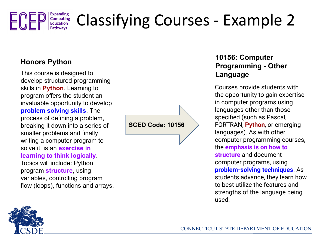

### Classifying Courses - Example 2

This course is designed to **Language** develop structured programming skills in **Python**. Learning to program offers the student an invaluable opportunity to develop **problem solving skills**. The process of defining a problem, breaking it down into a series of smaller problems and finally writing a computer program to solve it, is an **exercise in learning to think logically**.

Topics will include: Python program **structure**, using variables, controlling program flow (loops), functions and arrays. **SCED Code: 10156**

#### **Honors Python 10156: Computer Programming - Other**

Courses provide students with the opportunity to gain expertise in computer programs using languages other than those specified (such as Pascal, FORTRAN, **Python**, or emerging languages). As with other computer programming courses, the **emphasis is on how to structure** and document computer programs, using **problem-solving techniques**. As students advance, they learn how to best utilize the features and strengths of the language being used.

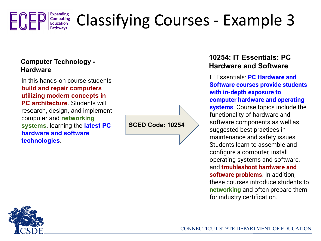

### Classifying Courses - Example 3

#### **Computer Technology - Hardware**

In this hands-on course students **build and repair computers utilizing modern concepts in PC architecture.** Students will research, design, and implement computer and **networking systems**, learning the **latest PC hardware and software technologies**.

**SCED Code: 10254**

#### **10254: IT Essentials: PC Hardware and Software**

IT Essentials: **PC Hardware and Software courses provide students with in-depth exposure to computer hardware and operating systems**. Course topics include the functionality of hardware and software components as well as suggested best practices in maintenance and safety issues. Students learn to assemble and configure a computer, install operating systems and software, and **troubleshoot hardware and software problems**. In addition, these courses introduce students to **networking** and often prepare them for industry certification.

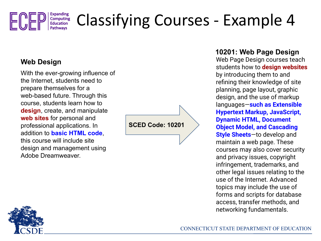

### Classifying Courses - Example 4

#### **Web Design**

With the ever-growing influence of the Internet, students need to prepare themselves for a web-based future. Through this course, students learn how to **design**, create, and manipulate **web sites** for personal and professional applications. In addition to **basic HTML code**, this course will include site design and management using Adobe Dreamweaver.

**SCED Code: 10201**

#### **10201: Web Page Design**

Web Page Design courses teach students how to **design websites** by introducing them to and refining their knowledge of site planning, page layout, graphic design, and the use of markup languages—**such as Extensible Hypertext Markup, JavaScript, Dynamic HTML, Document Object Model, and Cascading Style Sheets**—to develop and maintain a web page. These courses may also cover security and privacy issues, copyright infringement, trademarks, and other legal issues relating to the use of the Internet. Advanced topics may include the use of forms and scripts for database access, transfer methods, and networking fundamentals.